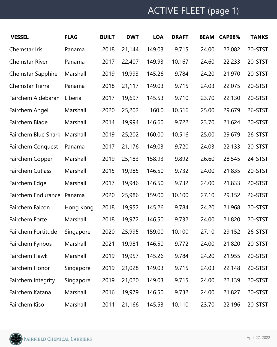## ACTIVE FLEET (page 1)

| <b>VESSEL</b>            | <b>FLAG</b> | <b>BUILT</b> | <b>DWT</b> | <b>LOA</b> | <b>DRAFT</b> | <b>BEAM</b> | <b>CAP98%</b> | <b>TANKS</b> |
|--------------------------|-------------|--------------|------------|------------|--------------|-------------|---------------|--------------|
| Chemstar Iris            | Panama      | 2018         | 21,144     | 149.03     | 9.715        | 24.00       | 22,082        | 20-STST      |
| <b>Chemstar River</b>    | Panama      | 2017         | 22,407     | 149.93     | 10.167       | 24.60       | 22,233        | 20-STST      |
| <b>Chemstar Sapphire</b> | Marshall    | 2019         | 19,993     | 145.26     | 9.784        | 24.20       | 21,970        | 20-STST      |
| Chemstar Tierra          | Panama      | 2018         | 21,117     | 149.03     | 9.715        | 24.03       | 22,075        | 20-STST      |
| Fairchem Aldebaran       | Liberia     | 2017         | 19,697     | 145.53     | 9.710        | 23.70       | 22,130        | 20-STST      |
| Fairchem Angel           | Marshall    | 2020         | 25,202     | 160.0      | 10.516       | 25.00       | 29,679        | 26-STST      |
| Fairchem Blade           | Marshall    | 2014         | 19,994     | 146.60     | 9.722        | 23.70       | 21,624        | 20-STST      |
| Fairchem Blue Shark      | Marshall    | 2019         | 25,202     | 160.00     | 10.516       | 25.00       | 29,679        | 26-STST      |
| <b>Fairchem Conquest</b> | Panama      | 2017         | 21,176     | 149.03     | 9.720        | 24.03       | 22,133        | 20-STST      |
| Fairchem Copper          | Marshall    | 2019         | 25,183     | 158.93     | 9.892        | 26.60       | 28,545        | 24-STST      |
| <b>Fairchem Cutlass</b>  | Marshall    | 2015         | 19,985     | 146.50     | 9.732        | 24.00       | 21,835        | 20-STST      |
| Fairchem Edge            | Marshall    | 2017         | 19,946     | 146.50     | 9.732        | 24.00       | 21,833        | 20-STST      |
| Fairchem Endurance       | Panama      | 2020         | 25,986     | 159.00     | 10.100       | 27.10       | 29,152        | 26-STST      |
| Fairchem Falcon          | Hong Kong   | 2018         | 19,952     | 145.26     | 9.784        | 24.20       | 21,968        | 20-STST      |
| Fairchem Forte           | Marshall    | 2018         | 19,972     | 146.50     | 9.732        | 24.00       | 21,820        | 20-STST      |
| Fairchem Fortitude       | Singapore   | 2020         | 25,995     | 159.00     | 10.100       | 27.10       | 29,152        | 26-STST      |
| Fairchem Fynbos          | Marshall    | 2021         | 19,981     | 146.50     | 9.772        | 24.00       | 21,820        | 20-STST      |
| Fairchem Hawk            | Marshall    | 2019         | 19,957     | 145.26     | 9.784        | 24.20       | 21,955        | 20-STST      |
| Fairchem Honor           | Singapore   | 2019         | 21,028     | 149.03     | 9.715        | 24.03       | 22,148        | 20-STST      |
| Fairchem Integrity       | Singapore   | 2019         | 21,020     | 149.03     | 9.715        | 24.00       | 22,139        | 20-STST      |
| Fairchem Katana          | Marshall    | 2016         | 19,979     | 146.50     | 9.732        | 24.00       | 21,827        | 20-STST      |
| Fairchem Kiso            | Marshall    | 2011         | 21,166     | 145.53     | 10.110       | 23.70       | 22,196        | 20-STST      |

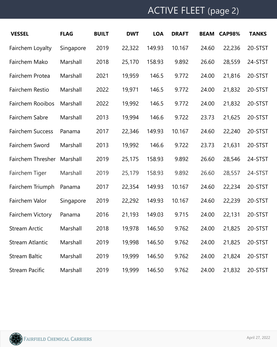## ACTIVE FLEET (page 2)

| <b>VESSEL</b>           | <b>FLAG</b> | <b>BUILT</b> | <b>DWT</b> | <b>LOA</b> | <b>DRAFT</b> | <b>BEAM</b> | <b>CAP98%</b> | <b>TANKS</b> |
|-------------------------|-------------|--------------|------------|------------|--------------|-------------|---------------|--------------|
| Fairchem Loyalty        | Singapore   | 2019         | 22,322     | 149.93     | 10.167       | 24.60       | 22,236        | 20-STST      |
| Fairchem Mako           | Marshall    | 2018         | 25,170     | 158.93     | 9.892        | 26.60       | 28,559        | 24-STST      |
| Fairchem Protea         | Marshall    | 2021         | 19,959     | 146.5      | 9.772        | 24.00       | 21,816        | 20-STST      |
| Fairchem Restio         | Marshall    | 2022         | 19,971     | 146.5      | 9.772        | 24.00       | 21,832        | 20-STST      |
| Fairchem Rooibos        | Marshall    | 2022         | 19,992     | 146.5      | 9.772        | 24.00       | 21,832        | 20-STST      |
| Fairchem Sabre          | Marshall    | 2013         | 19,994     | 146.6      | 9.722        | 23.73       | 21,625        | 20-STST      |
| <b>Fairchem Success</b> | Panama      | 2017         | 22,346     | 149.93     | 10.167       | 24.60       | 22,240        | 20-STST      |
| Fairchem Sword          | Marshall    | 2013         | 19,992     | 146.6      | 9.722        | 23.73       | 21,631        | 20-STST      |
| Fairchem Thresher       | Marshall    | 2019         | 25,175     | 158.93     | 9.892        | 26.60       | 28,546        | 24-STST      |
| Fairchem Tiger          | Marshall    | 2019         | 25,179     | 158.93     | 9.892        | 26.60       | 28,557        | 24-STST      |
| Fairchem Triumph        | Panama      | 2017         | 22,354     | 149.93     | 10.167       | 24.60       | 22,234        | 20-STST      |
| Fairchem Valor          | Singapore   | 2019         | 22,292     | 149.93     | 10.167       | 24.60       | 22,239        | 20-STST      |
| Fairchem Victory        | Panama      | 2016         | 21,193     | 149.03     | 9.715        | 24.00       | 22,131        | 20-STST      |
| <b>Stream Arctic</b>    | Marshall    | 2018         | 19,978     | 146.50     | 9.762        | 24.00       | 21,825        | 20-STST      |
| <b>Stream Atlantic</b>  | Marshall    | 2019         | 19,998     | 146.50     | 9.762        | 24.00       | 21,825        | 20-STST      |
| <b>Stream Baltic</b>    | Marshall    | 2019         | 19,999     | 146.50     | 9.762        | 24.00       | 21,824        | 20-STST      |
| <b>Stream Pacific</b>   | Marshall    | 2019         | 19,999     | 146.50     | 9.762        | 24.00       | 21,832        | 20-STST      |